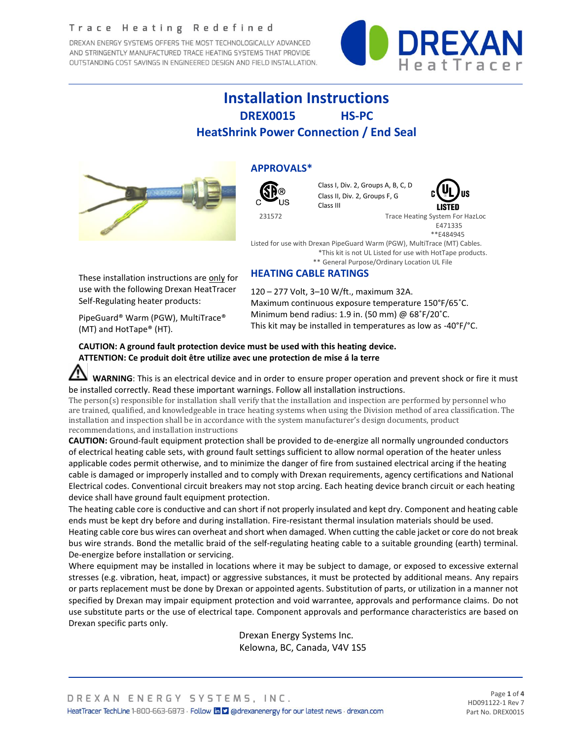### Trace Heating Redefined

DREXAN ENERGY SYSTEMS OFFERS THE MOST TECHNOLOGICALLY ADVANCED AND STRINGENTLY MANUFACTURED TRACE HEATING SYSTEMS THAT PROVIDE OUTSTANDING COST SAVINGS IN ENGINEERED DESIGN AND FIELD INSTALLATION.



# **Installation Instructions DREX0015 HS-PC HeatShrink Power Connection / End Seal**



**APPROVALS\***



Class I, Div. 2, Groups A, B, C, D Class II, Div. 2, Groups F, G Class III



 231572 Trace Heating System For HazLoc E471335 \*\*E484945

Listed for use with Drexan PipeGuard Warm (PGW), MultiTrace (MT) Cables. \*This kit is not UL Listed for use with HotTape products. \*\* General Purpose/Ordinary Location UL File

## **HEATING CABLE RATINGS**

These installation instructions are only for use with the following Drexan HeatTracer Self-Regulating heater products:

120 – 277 Volt, 3–10 W/ft., maximum 32A. Maximum continuous exposure temperature 150°F/65˚C. Minimum bend radius: 1.9 in. (50 mm) @ 68˚F/20˚C. This kit may be installed in temperatures as low as -40°F/°C.

PipeGuard® Warm (PGW), MultiTrace® (MT) and HotTape® (HT).

**CAUTION: A ground fault protection device must be used with this heating device. ATTENTION: Ce produit doit être utilize avec une protection de mise á la terre**

**WARNING**: This is an electrical device and in order to ensure proper operation and prevent shock or fire it must be installed correctly. Read these important warnings. Follow all installation instructions.

The person(s) responsible for installation shall verify that the installation and inspection are performed by personnel who are trained, qualified, and knowledgeable in trace heating systems when using the Division method of area classification. The installation and inspection shall be in accordance with the system manufacturer's design documents, product recommendations, and installation instructions

**CAUTION:** Ground-fault equipment protection shall be provided to de-energize all normally ungrounded conductors of electrical heating cable sets, with ground fault settings sufficient to allow normal operation of the heater unless applicable codes permit otherwise, and to minimize the danger of fire from sustained electrical arcing if the heating cable is damaged or improperly installed and to comply with Drexan requirements, agency certifications and National Electrical codes. Conventional circuit breakers may not stop arcing. Each heating device branch circuit or each heating device shall have ground fault equipment protection.

The heating cable core is conductive and can short if not properly insulated and kept dry. Component and heating cable ends must be kept dry before and during installation. Fire-resistant thermal insulation materials should be used. Heating cable core bus wires can overheat and short when damaged. When cutting the cable jacket or core do not break bus wire strands. Bond the metallic braid of the self-regulating heating cable to a suitable grounding (earth) terminal. De-energize before installation or servicing.

Where equipment may be installed in locations where it may be subject to damage, or exposed to excessive external stresses (e.g. vibration, heat, impact) or aggressive substances, it must be protected by additional means. Any repairs or parts replacement must be done by Drexan or appointed agents. Substitution of parts, or utilization in a manner not specified by Drexan may impair equipment protection and void warrantee, approvals and performance claims. Do not use substitute parts or the use of electrical tape. Component approvals and performance characteristics are based on Drexan specific parts only.

> Drexan Energy Systems Inc. Kelowna, BC, Canada, V4V 1S5

Page **1** of **4** HD091122-1 Rev 7 Part No. DREX0015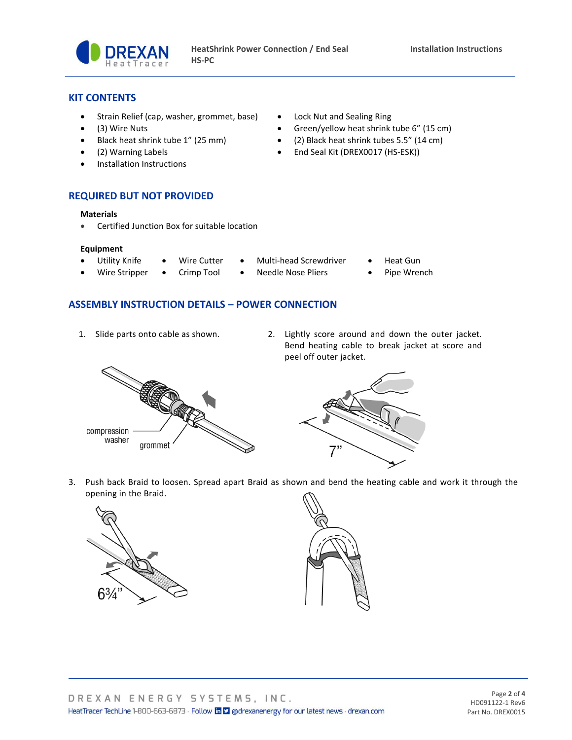

## **KIT CONTENTS**

- Strain Relief (cap, washer, grommet, base) Lock Nut and Sealing Ring
- 
- 
- 
- Installation Instructions
- 
- (3) Wire Nuts Green/yellow heat shrink tube 6" (15 cm)
- Black heat shrink tube 1" (25 mm) (2) Black heat shrink tubes 5.5" (14 cm)
- (2) Warning Labels End Seal Kit (DREX0017 (HS-ESK))
- **REQUIRED BUT NOT PROVIDED**

#### **Materials**

• Certified Junction Box for suitable location

#### **Equipment**

- Utility Knife Wire Cutter Multi-head Screwdriver Heat Gun
	-
- 
- Wire Stripper Crimp Tool Needle Nose Pliers Pipe Wrench

## **ASSEMBLY INSTRUCTION DETAILS – POWER CONNECTION**

- 
- 1. Slide parts onto cable as shown. 2. Lightly score around and down the outer jacket. Bend heating cable to break jacket at score and peel off outer jacket.





3. Push back Braid to loosen. Spread apart Braid as shown and bend the heating cable and work it through the opening in the Braid.



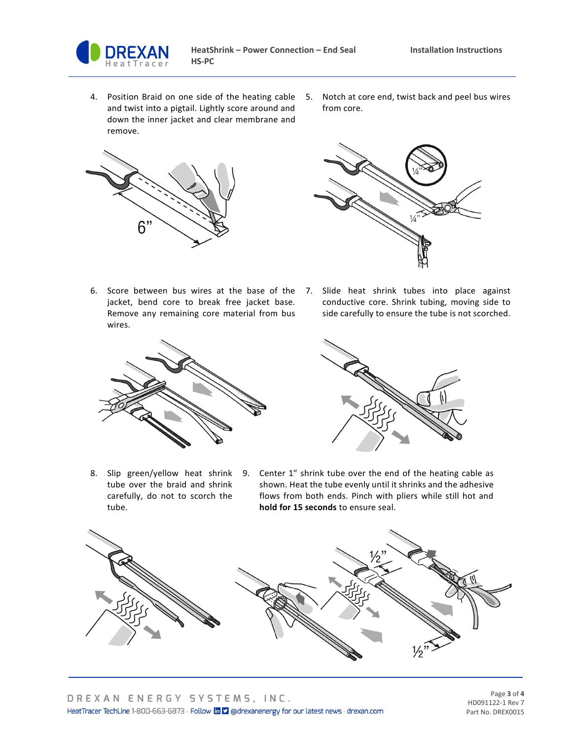

- 4. Position Braid on one side of the heating cable and twist into a pigtail. Lightly score around and down the inner jacket and clear membrane and remove.
- 5. Notch at core end, twist back and peel bus wires from core.





- 6. Score between bus wires at the base of the 7. Slide heat shrink tubes into place against jacket, bend core to break free jacket base. Remove any remaining core material from bus wires.
	- conductive core. Shrink tubing, moving side to side carefully to ensure the tube is not scorched.





- tube over the braid and shrink carefully, do not to scorch the tube.
- 8. Slip green/yellow heat shrink 9. Center 1" shrink tube over the end of the heating cable as shown. Heat the tube evenly until it shrinks and the adhesive flows from both ends. Pinch with pliers while still hot and **hold for 15 seconds** to ensure seal.



Page **3** of **4** HD091122-1 Rev 7 Part No. DREX0015